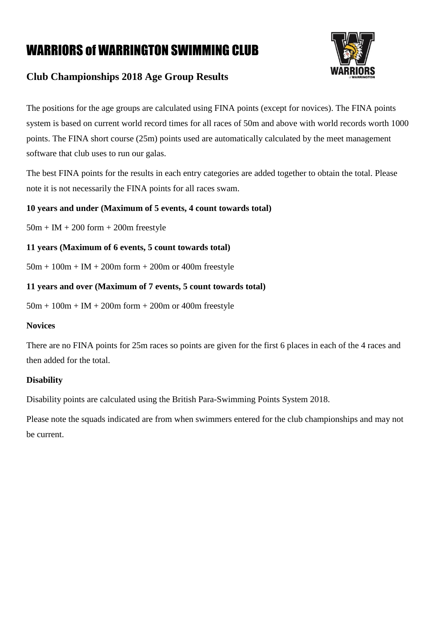

#### **Club Championships 2018 Age Group Results**

The positions for the age groups are calculated using FINA points (except for novices). The FINA points system is based on current world record times for all races of 50m and above with world records worth 1000 points. The FINA short course (25m) points used are automatically calculated by the meet management software that club uses to run our galas.

The best FINA points for the results in each entry categories are added together to obtain the total. Please note it is not necessarily the FINA points for all races swam.

#### **10 years and under (Maximum of 5 events, 4 count towards total)**

 $50m + IM + 200$  form  $+ 200m$  freestyle

#### **11 years (Maximum of 6 events, 5 count towards total)**

 $50m + 100m + IM + 200m$  form  $+ 200m$  or 400m freestyle

#### **11 years and over (Maximum of 7 events, 5 count towards total)**

 $50m + 100m + IM + 200m$  form  $+ 200m$  or 400m freestyle

#### **Novices**

There are no FINA points for 25m races so points are given for the first 6 places in each of the 4 races and then added for the total.

#### **Disability**

Disability points are calculated using the British Para-Swimming Points System 2018.

Please note the squads indicated are from when swimmers entered for the club championships and may not be current.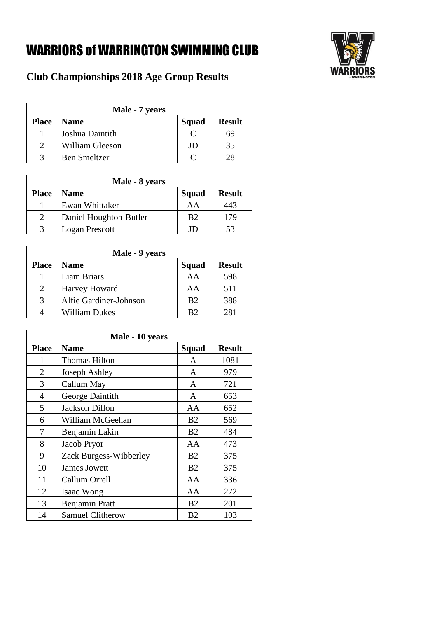

|              | Male - 7 years      |       |               |
|--------------|---------------------|-------|---------------|
| <b>Place</b> | <b>Name</b>         | Squad | <b>Result</b> |
|              | Joshua Daintith     |       | 59            |
| ∍            | William Gleeson     | JD.   | 35            |
|              | <b>Ben Smeltzer</b> |       |               |

|              | Male - 8 years         |                |               |
|--------------|------------------------|----------------|---------------|
| <b>Place</b> | <b>Name</b>            | Squad          | <b>Result</b> |
|              | Ewan Whittaker         | AA             | 443           |
|              | Daniel Houghton-Butler | B <sub>2</sub> | 179           |
|              | Logan Prescott         |                | 53            |

|                             | Male - 9 years         |                |               |
|-----------------------------|------------------------|----------------|---------------|
| <b>Place</b>                | <b>Name</b>            | Squad          | <b>Result</b> |
|                             | Liam Briars            | AA             | 598           |
| $\mathcal{D}_{\mathcal{L}}$ | Harvey Howard          | AA             | 511           |
| $\mathcal{R}$               | Alfie Gardiner-Johnson | B <sub>2</sub> | 388           |
|                             | William Dukes          | R2             | 281           |

|              | Male - 10 years         |                |               |
|--------------|-------------------------|----------------|---------------|
| <b>Place</b> | <b>Name</b>             | <b>Squad</b>   | <b>Result</b> |
| 1            | <b>Thomas Hilton</b>    | A              | 1081          |
| 2            | Joseph Ashley           | A              | 979           |
| 3            | Callum May              | A              | 721           |
| 4            | George Daintith         | A              | 653           |
| 5            | <b>Jackson Dillon</b>   | AA             | 652           |
| 6            | William McGeehan        | B <sub>2</sub> | 569           |
| 7            | Benjamin Lakin          | B <sub>2</sub> | 484           |
| 8            | Jacob Pryor             | AA             | 473           |
| 9            | Zack Burgess-Wibberley  | B <sub>2</sub> | 375           |
| 10           | <b>James Jowett</b>     | B <sub>2</sub> | 375           |
| 11           | Callum Orrell           | AA             | 336           |
| 12           | Isaac Wong              | AA             | 272           |
| 13           | <b>Benjamin Pratt</b>   | B <sub>2</sub> | 201           |
| 14           | <b>Samuel Clitherow</b> | B <sub>2</sub> | 103           |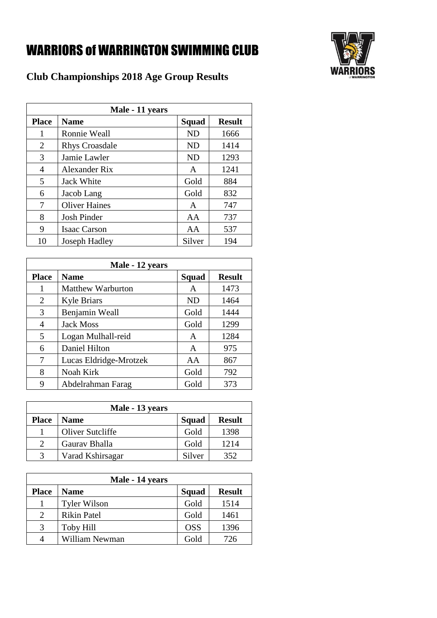

|              | Male - 11 years       |              |               |
|--------------|-----------------------|--------------|---------------|
| <b>Place</b> | <b>Name</b>           | <b>Squad</b> | <b>Result</b> |
| 1            | Ronnie Weall          | <b>ND</b>    | 1666          |
| 2            | <b>Rhys Croasdale</b> | <b>ND</b>    | 1414          |
| 3            | Jamie Lawler          | <b>ND</b>    | 1293          |
| 4            | Alexander Rix         | A            | 1241          |
| 5            | <b>Jack White</b>     | Gold         | 884           |
| 6            | Jacob Lang            | Gold         | 832           |
| 7            | <b>Oliver Haines</b>  | A            | 747           |
| 8            | <b>Josh Pinder</b>    | AA           | 737           |
| 9            | <b>Isaac Carson</b>   | AA           | 537           |
| 10           | Joseph Hadley         | Silver       | 194           |

|              | Male - 12 years          |           |               |
|--------------|--------------------------|-----------|---------------|
| <b>Place</b> | <b>Name</b>              | Squad     | <b>Result</b> |
| 1            | <b>Matthew Warburton</b> | A         | 1473          |
| 2            | <b>Kyle Briars</b>       | <b>ND</b> | 1464          |
| 3            | Benjamin Weall           | Gold      | 1444          |
| 4            | <b>Jack Moss</b>         | Gold      | 1299          |
| 5            | Logan Mulhall-reid       | A         | 1284          |
| 6            | Daniel Hilton            | A         | 975           |
| 7            | Lucas Eldridge-Mrotzek   | AA        | 867           |
| 8            | Noah Kirk                | Gold      | 792           |
| q            | Abdelrahman Farag        | Gold      | 373           |

|              | Male - 13 years  |        |               |
|--------------|------------------|--------|---------------|
| <b>Place</b> | <b>Name</b>      | Squad  | <b>Result</b> |
|              | Oliver Sutcliffe | Gold   | 1398          |
|              | Gaurav Bhalla    | Gold   | 1214          |
|              | Varad Kshirsagar | Silver | 352           |

|              | Male - 14 years     |            |               |
|--------------|---------------------|------------|---------------|
| <b>Place</b> | <b>Name</b>         | Squad      | <b>Result</b> |
|              | <b>Tyler Wilson</b> | Gold       | 1514          |
| 2            | <b>Rikin Patel</b>  | Gold       | 1461          |
| 3            | Toby Hill           | <b>OSS</b> | 1396          |
|              | William Newman      | Gold       | 726           |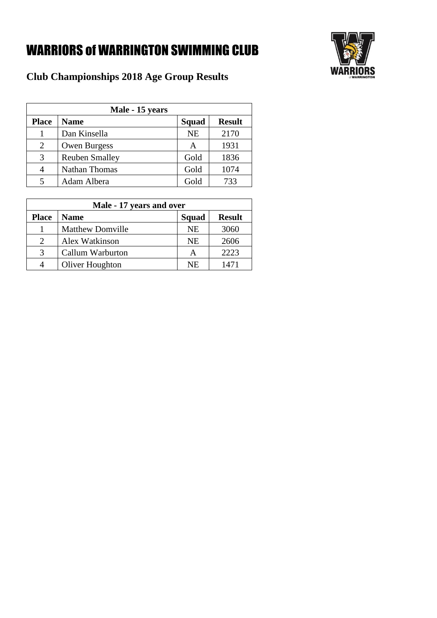

|              | Male - 15 years       |           |               |
|--------------|-----------------------|-----------|---------------|
| <b>Place</b> | <b>Name</b>           | Squad     | <b>Result</b> |
|              | Dan Kinsella          | <b>NE</b> | 2170          |
| 2            | <b>Owen Burgess</b>   | A         | 1931          |
| 3            | <b>Reuben Smalley</b> | Gold      | 1836          |
|              | <b>Nathan Thomas</b>  | Gold      | 1074          |
|              | Adam Albera           | Gold      | 733           |

| Male - 17 years and over    |                         |           |               |
|-----------------------------|-------------------------|-----------|---------------|
| <b>Place</b>                | <b>Name</b>             | Squad     | <b>Result</b> |
|                             | <b>Matthew Domville</b> | <b>NE</b> | 3060          |
| $\mathcal{D}_{\mathcal{L}}$ | Alex Watkinson          | <b>NE</b> | 2606          |
| 3                           | Callum Warburton        | А         | 2223          |
|                             | Oliver Houghton         | <b>NE</b> | 1471          |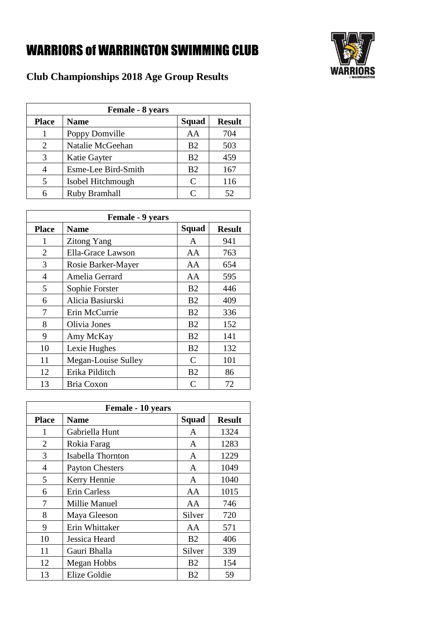

| <b>Female - 8 years</b> |                     |                             |               |
|-------------------------|---------------------|-----------------------------|---------------|
| <b>Place</b>            | <b>Name</b>         | Squad                       | <b>Result</b> |
|                         | Poppy Domville      | AA                          | 704           |
| 2                       | Natalie McGeehan    | B <sub>2</sub>              | 503           |
| 3                       | Katie Gayter        | B <sub>2</sub>              | 459           |
| 4                       | Esme-Lee Bird-Smith | B <sub>2</sub>              | 167           |
| 5                       | Isobel Hitchmough   | $\mathcal{C}_{\mathcal{C}}$ | 116           |
| 6                       | Ruby Bramhall       | C                           | 52            |

|              | <b>Female - 9 years</b> |                             |               |
|--------------|-------------------------|-----------------------------|---------------|
| <b>Place</b> | <b>Name</b>             | Squad                       | <b>Result</b> |
| 1            | <b>Zitong Yang</b>      | A                           | 941           |
| 2            | Ella-Grace Lawson       | AA                          | 763           |
| 3            | Rosie Barker-Mayer      | AA                          | 654           |
| 4            | Amelia Gerrard          | AA                          | 595           |
| 5            | Sophie Forster          | B <sub>2</sub>              | 446           |
| 6            | Alicia Basiurski        | B <sub>2</sub>              | 409           |
| 7            | Erin McCurrie           | B <sub>2</sub>              | 336           |
| 8            | Olivia Jones            | B <sub>2</sub>              | 152           |
| 9            | Amy McKay               | B <sub>2</sub>              | 141           |
| 10           | Lexie Hughes            | B <sub>2</sub>              | 132           |
| 11           | Megan-Louise Sulley     | C                           | 101           |
| 12           | Erika Pilditch          | B <sub>2</sub>              | 86            |
| 13           | Bria Coxon              | $\mathcal{C}_{\mathcal{C}}$ | 72            |

| Female - 10 years |                                       |                |      |  |  |  |  |
|-------------------|---------------------------------------|----------------|------|--|--|--|--|
| <b>Place</b>      | Squad<br><b>Result</b><br><b>Name</b> |                |      |  |  |  |  |
| 1                 | Gabriella Hunt                        | A              | 1324 |  |  |  |  |
| 2                 | Rokia Farag                           | A              | 1283 |  |  |  |  |
| 3                 | Isabella Thornton                     | A              | 1229 |  |  |  |  |
| 4                 | <b>Payton Chesters</b>                | A              | 1049 |  |  |  |  |
| 5                 | Kerry Hennie                          | $\mathsf{A}$   | 1040 |  |  |  |  |
| 6                 | <b>Erin Carless</b>                   | AA             | 1015 |  |  |  |  |
| 7                 | Millie Manuel                         | AA             | 746  |  |  |  |  |
| 8                 | Maya Gleeson                          | Silver         | 720  |  |  |  |  |
| 9                 | Erin Whittaker                        | AA             | 571  |  |  |  |  |
| 10                | Jessica Heard                         | <b>B2</b>      | 406  |  |  |  |  |
| 11                | Gauri Bhalla                          | Silver         | 339  |  |  |  |  |
| 12                | Megan Hobbs                           | B <sub>2</sub> | 154  |  |  |  |  |
| 13                | Elize Goldie                          | B <sub>2</sub> | 59   |  |  |  |  |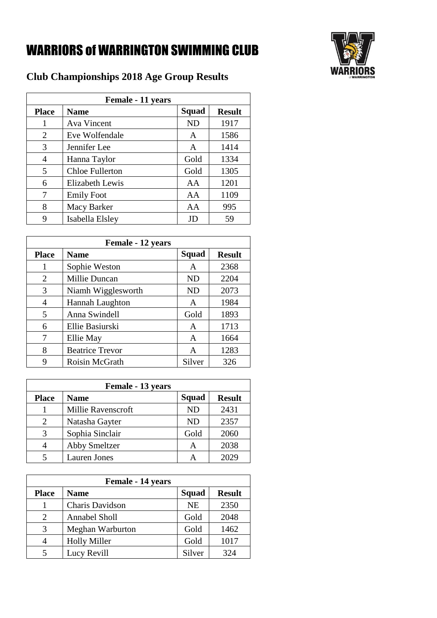

| Female - 11 years |                                              |           |      |  |  |  |
|-------------------|----------------------------------------------|-----------|------|--|--|--|
| <b>Place</b>      | <b>Squad</b><br><b>Name</b><br><b>Result</b> |           |      |  |  |  |
| 1                 | <b>Ava Vincent</b>                           | <b>ND</b> | 1917 |  |  |  |
| 2                 | Eve Wolfendale                               | A         | 1586 |  |  |  |
| 3                 | Jennifer Lee                                 | A         | 1414 |  |  |  |
| 4                 | Hanna Taylor                                 | Gold      | 1334 |  |  |  |
| 5                 | <b>Chloe Fullerton</b>                       | Gold      | 1305 |  |  |  |
| 6                 | <b>Elizabeth Lewis</b>                       | AA        | 1201 |  |  |  |
| 7                 | <b>Emily Foot</b>                            | AA        | 1109 |  |  |  |
| 8                 | Macy Barker                                  | AA        | 995  |  |  |  |
| 9                 | Isabella Elsley                              | JD        | 59   |  |  |  |

| <b>Female - 12 years</b> |                                              |           |      |  |  |  |
|--------------------------|----------------------------------------------|-----------|------|--|--|--|
| <b>Place</b>             | <b>Squad</b><br><b>Result</b><br><b>Name</b> |           |      |  |  |  |
| 1                        | Sophie Weston                                | A         | 2368 |  |  |  |
| 2                        | <b>Millie Duncan</b>                         | <b>ND</b> | 2204 |  |  |  |
| 3                        | Niamh Wigglesworth                           | <b>ND</b> | 2073 |  |  |  |
| 4                        | Hannah Laughton                              | A         | 1984 |  |  |  |
| 5                        | Anna Swindell                                | Gold      | 1893 |  |  |  |
| 6                        | Ellie Basiurski                              | A         | 1713 |  |  |  |
| 7                        | Ellie May                                    | A         | 1664 |  |  |  |
| 8                        | <b>Beatrice Trevor</b>                       | A         | 1283 |  |  |  |
| 9                        | Roisin McGrath                               | Silver    | 326  |  |  |  |

| Female - 13 years |                      |           |               |  |  |
|-------------------|----------------------|-----------|---------------|--|--|
| <b>Place</b>      | <b>Name</b>          | Squad     | <b>Result</b> |  |  |
|                   | Millie Ravenscroft   | <b>ND</b> | 2431          |  |  |
| 2                 | Natasha Gayter       | <b>ND</b> | 2357          |  |  |
| 3                 | Sophia Sinclair      | Gold      | 2060          |  |  |
| 4                 | <b>Abby Smeltzer</b> | А         | 2038          |  |  |
|                   | Lauren Jones         |           |               |  |  |

| Female - 14 years |                      |           |               |  |  |
|-------------------|----------------------|-----------|---------------|--|--|
| <b>Place</b>      | <b>Name</b>          | Squad     | <b>Result</b> |  |  |
|                   | Charis Davidson      | <b>NE</b> | 2350          |  |  |
| 2                 | <b>Annabel Sholl</b> | Gold      | 2048          |  |  |
| 3                 | Meghan Warburton     | Gold      | 1462          |  |  |
| 4                 | <b>Holly Miller</b>  | Gold      | 1017          |  |  |
| 5                 | Lucy Revill          | Silver    | 324           |  |  |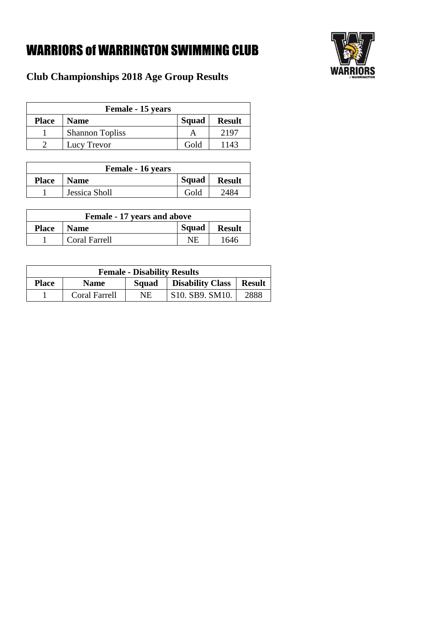

| Female - 15 years |                        |       |               |  |
|-------------------|------------------------|-------|---------------|--|
| <b>Place</b>      | <b>Name</b>            | Squad | <b>Result</b> |  |
|                   | <b>Shannon Topliss</b> |       | 2197          |  |
|                   | Lucy Trevor            | Gold  | 1143          |  |

| Female - 16 years |               |       |               |  |
|-------------------|---------------|-------|---------------|--|
| <b>Place</b>      | <b>Name</b>   | Squad | <b>Result</b> |  |
|                   | Jessica Sholl | Gold  | 2484          |  |

| <b>Female - 17 years and above</b>               |                      |    |      |  |  |
|--------------------------------------------------|----------------------|----|------|--|--|
| Squad<br>  Name<br><b>Place</b><br><b>Result</b> |                      |    |      |  |  |
|                                                  | <b>Coral Farrell</b> | NE | 1646 |  |  |

| <b>Female - Disability Results</b>                                               |               |    |                                                        |      |
|----------------------------------------------------------------------------------|---------------|----|--------------------------------------------------------|------|
| <b>Disability Class</b><br><b>Place</b><br><b>Result</b><br>Squad<br><b>Name</b> |               |    |                                                        |      |
|                                                                                  | Coral Farrell | NE | S <sub>10</sub> . SB <sub>9</sub> . SM <sub>10</sub> . | 2888 |